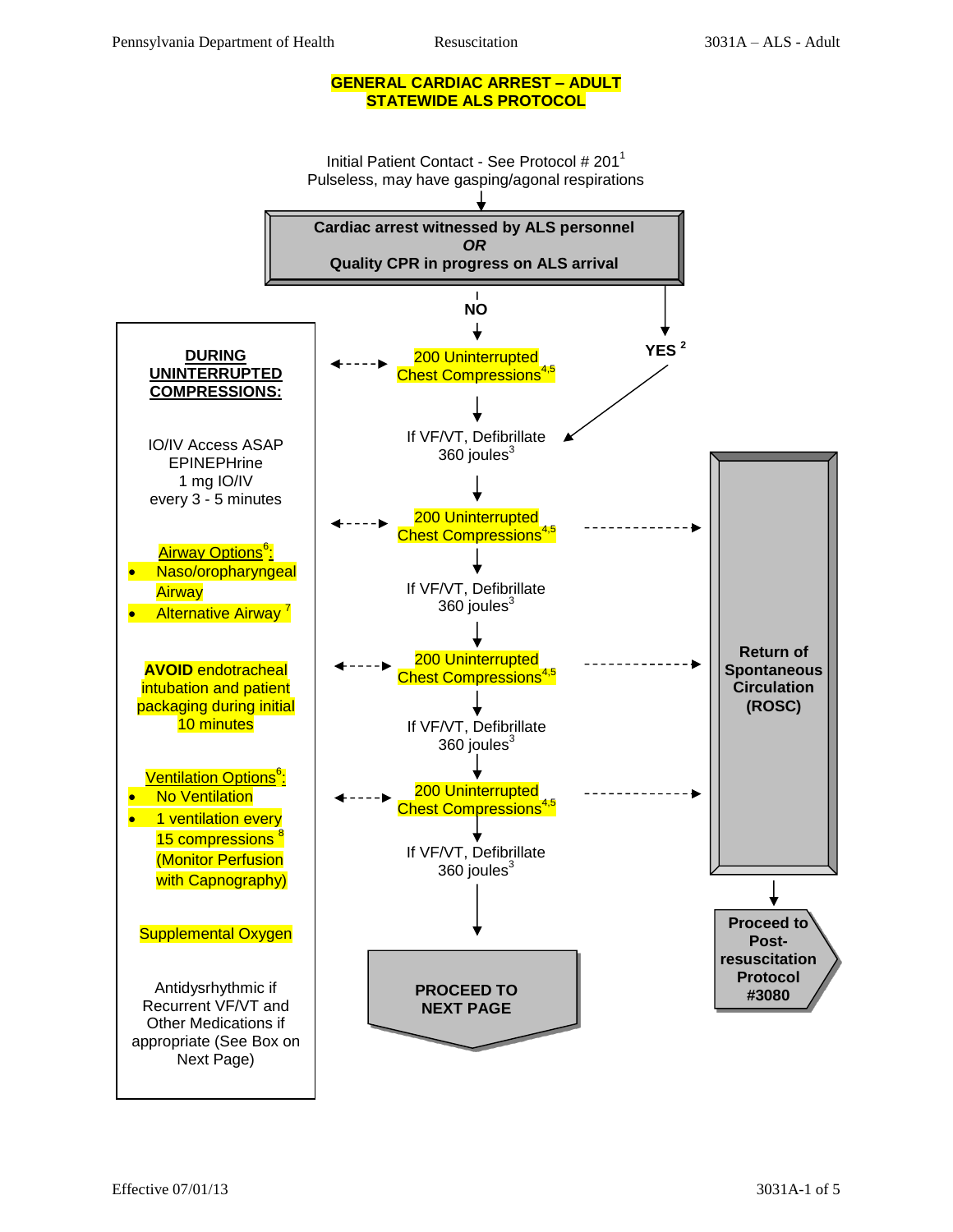#### **GENERAL CARDIAC ARREST – ADULT STATEWIDE ALS PROTOCOL**

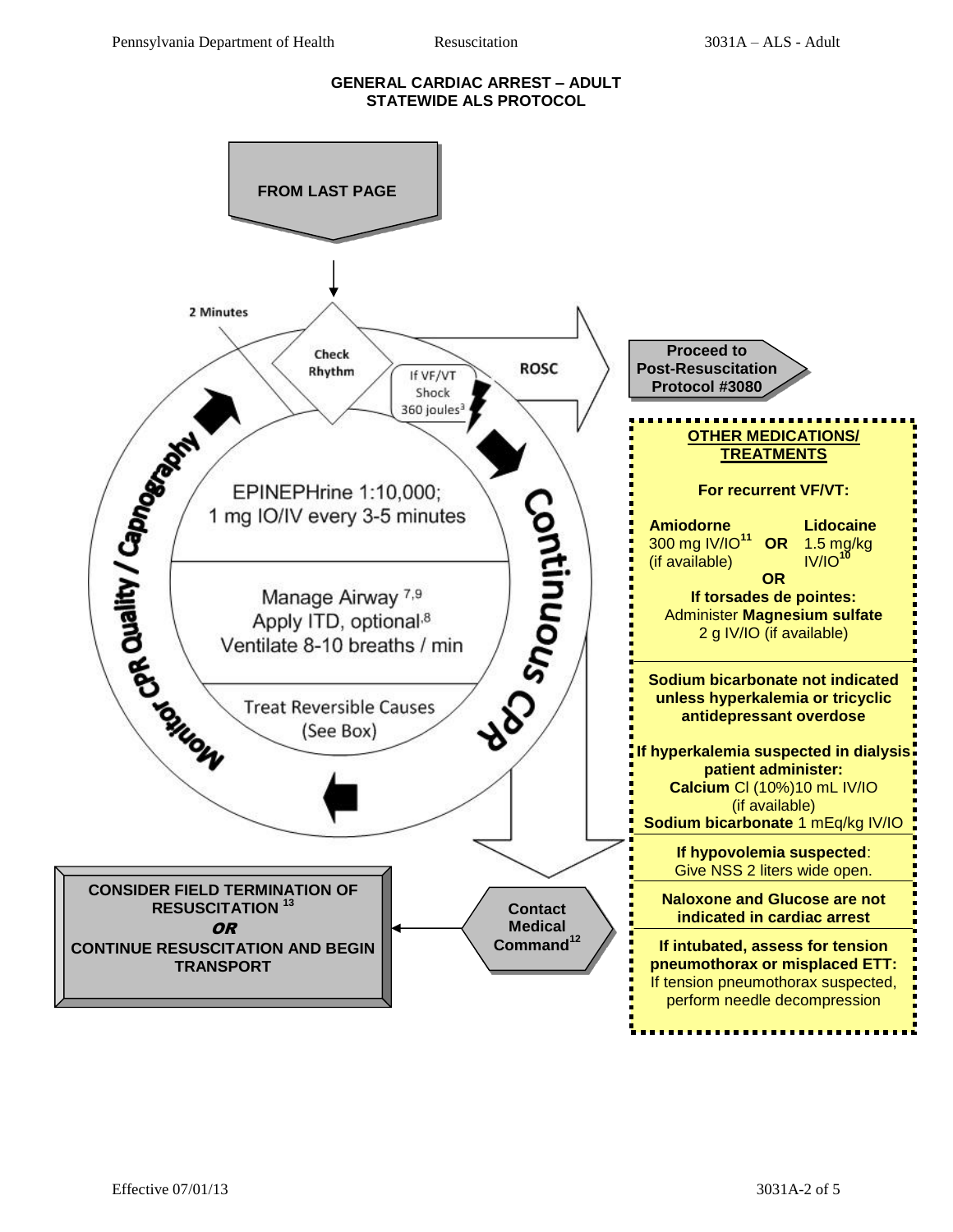#### **GENERAL CARDIAC ARREST – ADULT STATEWIDE ALS PROTOCOL**

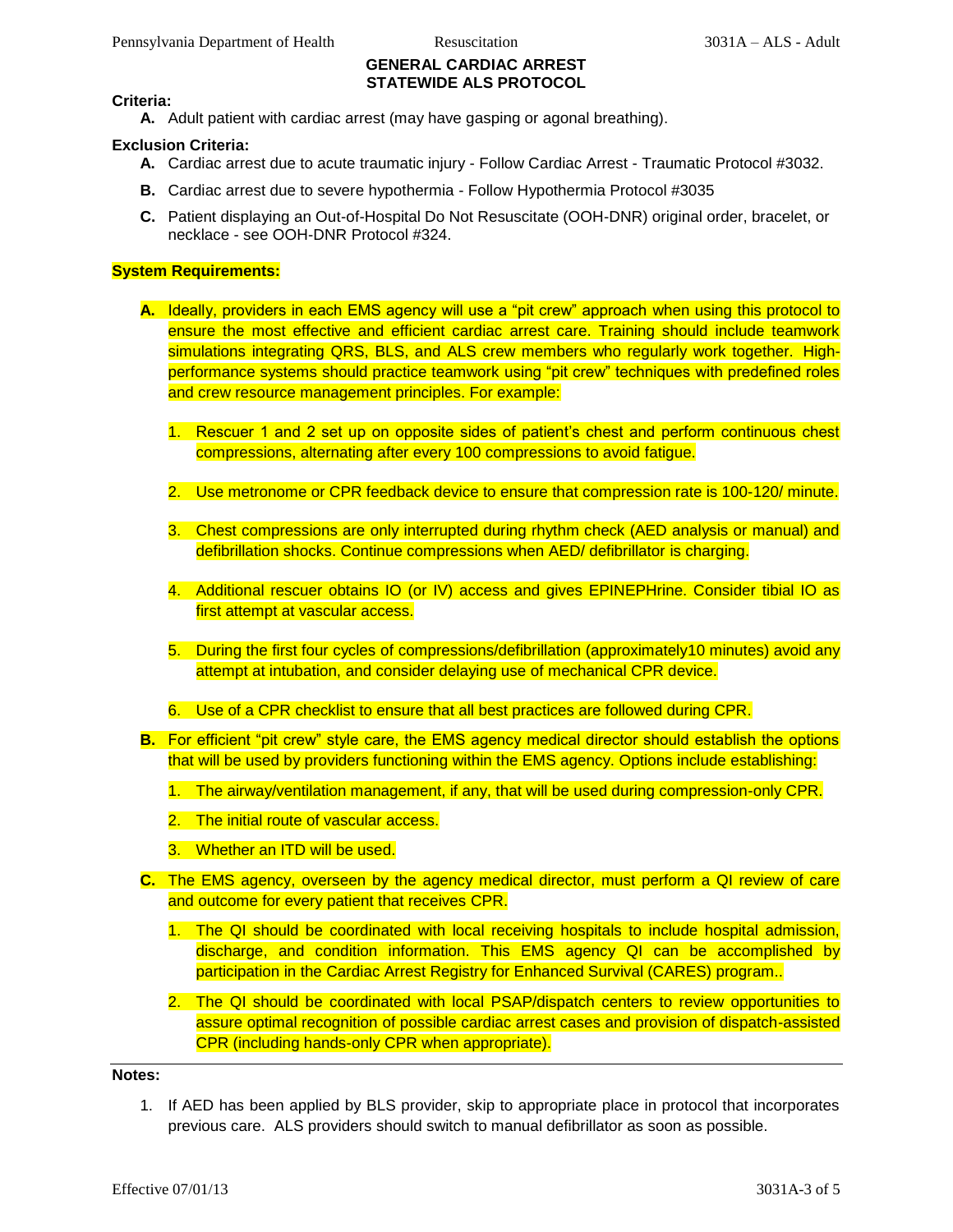# **GENERAL CARDIAC ARREST STATEWIDE ALS PROTOCOL**

#### **Criteria:**

**A.** Adult patient with cardiac arrest (may have gasping or agonal breathing).

## **Exclusion Criteria:**

- **A.** Cardiac arrest due to acute traumatic injury Follow Cardiac Arrest Traumatic Protocol #3032.
- **B.** Cardiac arrest due to severe hypothermia Follow Hypothermia Protocol #3035
- **C.** Patient displaying an Out-of-Hospital Do Not Resuscitate (OOH-DNR) original order, bracelet, or necklace - see OOH-DNR Protocol #324.

## **System Requirements:**

- **A.** Ideally, providers in each EMS agency will use a "pit crew" approach when using this protocol to ensure the most effective and efficient cardiac arrest care. Training should include teamwork simulations integrating QRS, BLS, and ALS crew members who regularly work together. Highperformance systems should practice teamwork using "pit crew" techniques with predefined roles and crew resource management principles. For example:
	- 1. Rescuer 1 and 2 set up on opposite sides of patient's chest and perform continuous chest compressions, alternating after every 100 compressions to avoid fatigue.
	- 2. Use metronome or CPR feedback device to ensure that compression rate is 100-120/ minute.
	- 3. Chest compressions are only interrupted during rhythm check (AED analysis or manual) and defibrillation shocks. Continue compressions when AED/ defibrillator is charging.
	- 4. Additional rescuer obtains IO (or IV) access and gives EPINEPHrine. Consider tibial IO as first attempt at vascular access.
	- 5. During the first four cycles of compressions/defibrillation (approximately10 minutes) avoid any attempt at intubation, and consider delaying use of mechanical CPR device.
	- 6. Use of a CPR checklist to ensure that all best practices are followed during CPR.
- **B.** For efficient "pit crew" style care, the EMS agency medical director should establish the options that will be used by providers functioning within the EMS agency. Options include establishing:
	- 1. The airway/ventilation management, if any, that will be used during compression-only CPR.
	- 2. The initial route of vascular access.
	- 3. Whether an ITD will be used.
- **C.** The EMS agency, overseen by the agency medical director, must perform a QI review of care and outcome for every patient that receives CPR.
	- 1. The QI should be coordinated with local receiving hospitals to include hospital admission, discharge, and condition information. This EMS agency QI can be accomplished by participation in the Cardiac Arrest Registry for Enhanced Survival (CARES) program..
	- 2. The QI should be coordinated with local PSAP/dispatch centers to review opportunities to assure optimal recognition of possible cardiac arrest cases and provision of dispatch-assisted CPR (including hands-only CPR when appropriate).

**Notes:** 

1. If AED has been applied by BLS provider, skip to appropriate place in protocol that incorporates previous care. ALS providers should switch to manual defibrillator as soon as possible.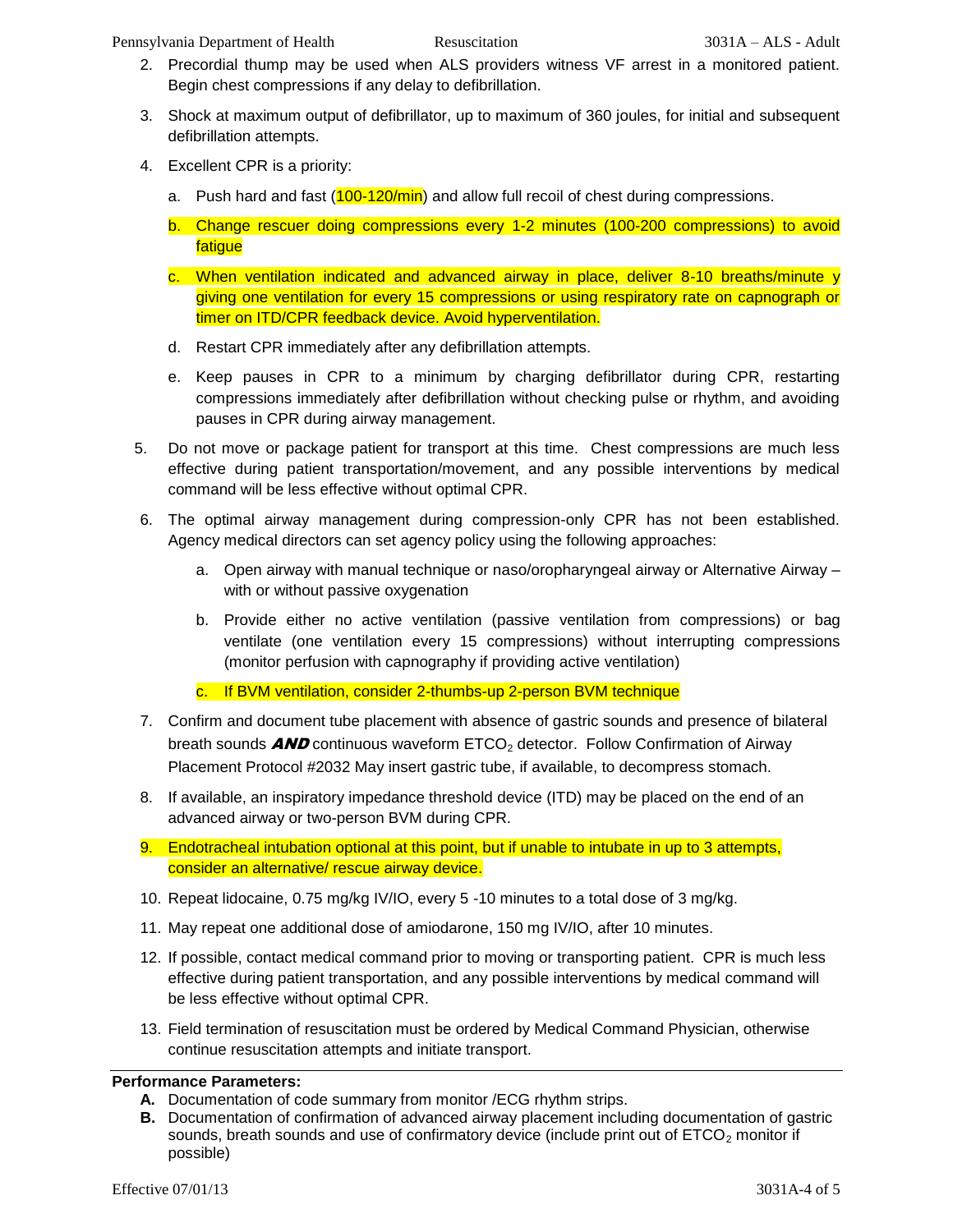Pennsylvania Department of Health Resuscitation 3031A – ALS - Adult

- 2. Precordial thump may be used when ALS providers witness VF arrest in a monitored patient. Begin chest compressions if any delay to defibrillation.
- 3. Shock at maximum output of defibrillator, up to maximum of 360 joules, for initial and subsequent defibrillation attempts.
- 4. Excellent CPR is a priority:
	- a. Push hard and fast (100-120/min) and allow full recoil of chest during compressions.
	- b. Change rescuer doing compressions every 1-2 minutes (100-200 compressions) to avoid **fatigue**
	- c. When ventilation indicated and advanced airway in place, deliver 8-10 breaths/minute y giving one ventilation for every 15 compressions or using respiratory rate on capnograph or timer on ITD/CPR feedback device. Avoid hyperventilation.
	- d. Restart CPR immediately after any defibrillation attempts.
	- e. Keep pauses in CPR to a minimum by charging defibrillator during CPR, restarting compressions immediately after defibrillation without checking pulse or rhythm, and avoiding pauses in CPR during airway management.
- 5. Do not move or package patient for transport at this time. Chest compressions are much less effective during patient transportation/movement, and any possible interventions by medical command will be less effective without optimal CPR.
- 6. The optimal airway management during compression-only CPR has not been established. Agency medical directors can set agency policy using the following approaches:
	- a. Open airway with manual technique or naso/oropharyngeal airway or Alternative Airway with or without passive oxygenation
	- b. Provide either no active ventilation (passive ventilation from compressions) or bag ventilate (one ventilation every 15 compressions) without interrupting compressions (monitor perfusion with capnography if providing active ventilation)
	- c. If BVM ventilation, consider 2-thumbs-up 2-person BVM technique
- 7. Confirm and document tube placement with absence of gastric sounds and presence of bilateral breath sounds  $AND$  continuous waveform  $ETCO<sub>2</sub>$  detector. Follow Confirmation of Airway Placement Protocol #2032 May insert gastric tube, if available, to decompress stomach.
- 8. If available, an inspiratory impedance threshold device (ITD) may be placed on the end of an advanced airway or two-person BVM during CPR.
- 9. Endotracheal intubation optional at this point, but if unable to intubate in up to 3 attempts, consider an alternative/ rescue airway device.
- 10. Repeat lidocaine, 0.75 mg/kg IV/IO, every 5 -10 minutes to a total dose of 3 mg/kg.
- 11. May repeat one additional dose of amiodarone, 150 mg IV/IO, after 10 minutes.
- 12. If possible, contact medical command prior to moving or transporting patient. CPR is much less effective during patient transportation, and any possible interventions by medical command will be less effective without optimal CPR.
- 13. Field termination of resuscitation must be ordered by Medical Command Physician, otherwise continue resuscitation attempts and initiate transport.

# **Performance Parameters:**

- **A.** Documentation of code summary from monitor /ECG rhythm strips.
- **B.** Documentation of confirmation of advanced airway placement including documentation of gastric sounds, breath sounds and use of confirmatory device (include print out of  $ETCO<sub>2</sub>$  monitor if possible)